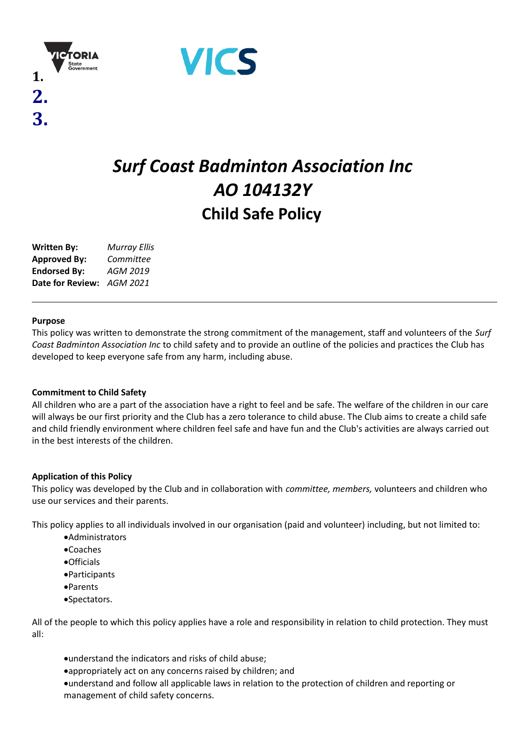



# *Surf Coast Badminton Association Inc AO 104132Y* **Child Safe Policy**

| <b>Written By:</b>  | <b>Murray Ellis</b> |
|---------------------|---------------------|
| <b>Approved By:</b> | Committee           |
| <b>Endorsed By:</b> | AGM 2019            |
| Date for Review:    | AGM 2021            |

#### **Purpose**

**1.**

**2.**

**3.**

This policy was written to demonstrate the strong commitment of the management, staff and volunteers of the *Surf Coast Badminton Association Inc* to child safety and to provide an outline of the policies and practices the Club has developed to keep everyone safe from any harm, including abuse.

## **Commitment to Child Safety**

All children who are a part of the association have a right to feel and be safe. The welfare of the children in our care will always be our first priority and the Club has a zero tolerance to child abuse. The Club aims to create a child safe and child friendly environment where children feel safe and have fun and the Club's activities are always carried out in the best interests of the children.

## **Application of this Policy**

This policy was developed by the Club and in collaboration with *committee, members,* volunteers and children who use our services and their parents.

This policy applies to all individuals involved in our organisation (paid and volunteer) including, but not limited to:

- ·Administrators
- ·Coaches
- ·Officials
- ·Participants
- ·Parents
- ·Spectators.

All of the people to which this policy applies have a role and responsibility in relation to child protection. They must all:

- ·understand the indicators and risks of child abuse;
- ·appropriately act on any concerns raised by children; and

·understand and follow all applicable laws in relation to the protection of children and reporting or management of child safety concerns.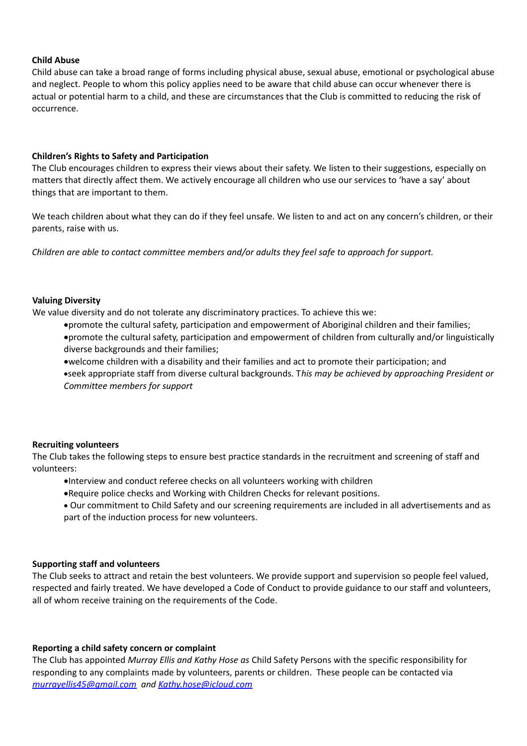### **Child Abuse**

Child abuse can take a broad range of forms including physical abuse, sexual abuse, emotional or psychological abuse and neglect. People to whom this policy applies need to be aware that child abuse can occur whenever there is actual or potential harm to a child, and these are circumstances that the Club is committed to reducing the risk of occurrence.

#### **Children's Rights to Safety and Participation**

The Club encourages children to express their views about their safety. We listen to their suggestions, especially on matters that directly affect them. We actively encourage all children who use our services to 'have a say' about things that are important to them.

We teach children about what they can do if they feel unsafe. We listen to and act on any concern's children, or their parents, raise with us.

*Children are able to contact committee members and/or adults they feel safe to approach for support.*

#### **Valuing Diversity**

We value diversity and do not tolerate any discriminatory practices. To achieve this we:

·promote the cultural safety, participation and empowerment of Aboriginal children and their families;

·promote the cultural safety, participation and empowerment of children from culturally and/or linguistically diverse backgrounds and their families;

·welcome children with a disability and their families and act to promote their participation; and ·seek appropriate staff from diverse cultural backgrounds. T*his may be achieved by approaching President or Committee members for support*

#### **Recruiting volunteers**

The Club takes the following steps to ensure best practice standards in the recruitment and screening of staff and volunteers:

- ·Interview and conduct referee checks on all volunteers working with children
- ·Require police checks and Working with Children Checks for relevant positions.

· Our commitment to Child Safety and our screening requirements are included in all advertisements and as part of the induction process for new volunteers.

#### **Supporting staff and volunteers**

The Club seeks to attract and retain the best volunteers. We provide support and supervision so people feel valued, respected and fairly treated. We have developed a Code of Conduct to provide guidance to our staff and volunteers, all of whom receive training on the requirements of the Code.

#### **Reporting a child safety concern or complaint**

The Club has appointed *Murray Ellis and Kathy Hose as* Child Safety Persons with the specific responsibility for responding to any complaints made by volunteers, parents or children. These people can be contacted via *murrayellis45@gmail.com and Kathy.hose@icloud.com*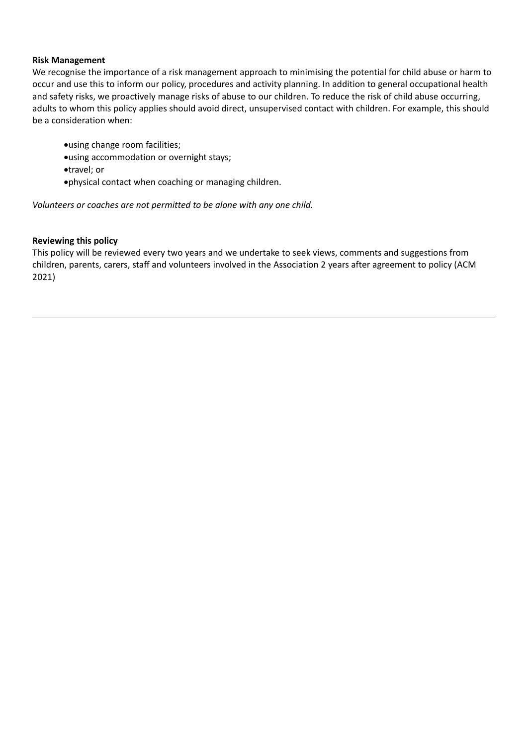#### **Risk Management**

We recognise the importance of a risk management approach to minimising the potential for child abuse or harm to occur and use this to inform our policy, procedures and activity planning. In addition to general occupational health and safety risks, we proactively manage risks of abuse to our children. To reduce the risk of child abuse occurring, adults to whom this policy applies should avoid direct, unsupervised contact with children. For example, this should be a consideration when:

- ·using change room facilities;
- ·using accommodation or overnight stays;
- ·travel; or
- ·physical contact when coaching or managing children.

*Volunteers or coaches are not permitted to be alone with any one child.*

#### **Reviewing this policy**

This policy will be reviewed every two years and we undertake to seek views, comments and suggestions from children, parents, carers, staff and volunteers involved in the Association 2 years after agreement to policy (ACM 2021)